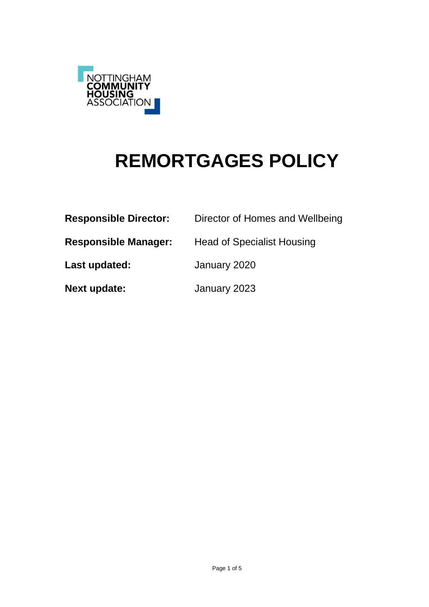

# **REMORTGAGES POLICY**

| <b>Responsible Director:</b> | Director of Homes and Wellbeing   |
|------------------------------|-----------------------------------|
| <b>Responsible Manager:</b>  | <b>Head of Specialist Housing</b> |
| Last updated:                | January 2020                      |
| <b>Next update:</b>          | January 2023                      |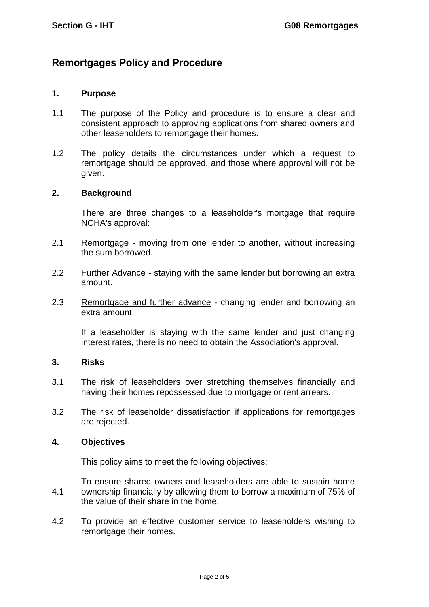## **Remortgages Policy and Procedure**

## **1. Purpose**

- 1.1 The purpose of the Policy and procedure is to ensure a clear and consistent approach to approving applications from shared owners and other leaseholders to remortgage their homes.
- 1.2 The policy details the circumstances under which a request to remortgage should be approved, and those where approval will not be given.

### **2. Background**

There are three changes to a leaseholder's mortgage that require NCHA's approval:

- 2.1 Remortgage moving from one lender to another, without increasing the sum borrowed.
- 2.2 Further Advance staying with the same lender but borrowing an extra amount.
- 2.3 Remortgage and further advance changing lender and borrowing an extra amount

If a leaseholder is staying with the same lender and just changing interest rates, there is no need to obtain the Association's approval.

#### **3. Risks**

- 3.1 The risk of leaseholders over stretching themselves financially and having their homes repossessed due to mortgage or rent arrears.
- 3.2 The risk of leaseholder dissatisfaction if applications for remortgages are rejected.

## **4. Objectives**

This policy aims to meet the following objectives:

- 4.1 To ensure shared owners and leaseholders are able to sustain home ownership financially by allowing them to borrow a maximum of 75% of the value of their share in the home.
- 4.2 To provide an effective customer service to leaseholders wishing to remortgage their homes.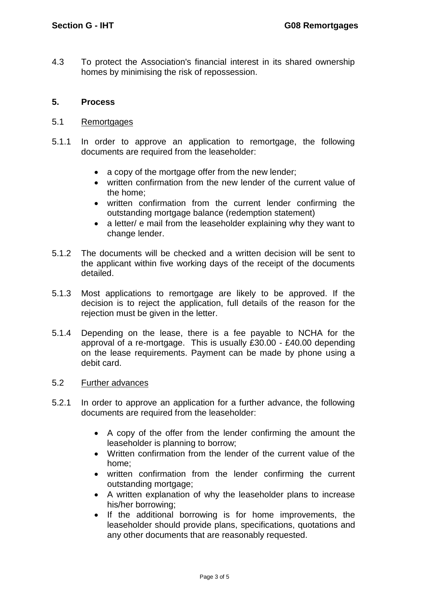4.3 To protect the Association's financial interest in its shared ownership homes by minimising the risk of repossession.

## **5. Process**

- 5.1 **Remortgages**
- 5.1.1 In order to approve an application to remortgage, the following documents are required from the leaseholder:
	- a copy of the mortgage offer from the new lender;
	- written confirmation from the new lender of the current value of the home;
	- written confirmation from the current lender confirming the outstanding mortgage balance (redemption statement)
	- a letter/ e mail from the leaseholder explaining why they want to change lender.
- 5.1.2 The documents will be checked and a written decision will be sent to the applicant within five working days of the receipt of the documents detailed.
- 5.1.3 Most applications to remortgage are likely to be approved. If the decision is to reject the application, full details of the reason for the rejection must be given in the letter.
- 5.1.4 Depending on the lease, there is a fee payable to NCHA for the approval of a re-mortgage. This is usually £30.00 - £40.00 depending on the lease requirements. Payment can be made by phone using a debit card.

## 5.2 Further advances

- 5.2.1 In order to approve an application for a further advance, the following documents are required from the leaseholder:
	- A copy of the offer from the lender confirming the amount the leaseholder is planning to borrow;
	- Written confirmation from the lender of the current value of the home;
	- written confirmation from the lender confirming the current outstanding mortgage;
	- A written explanation of why the leaseholder plans to increase his/her borrowing;
	- If the additional borrowing is for home improvements, the leaseholder should provide plans, specifications, quotations and any other documents that are reasonably requested.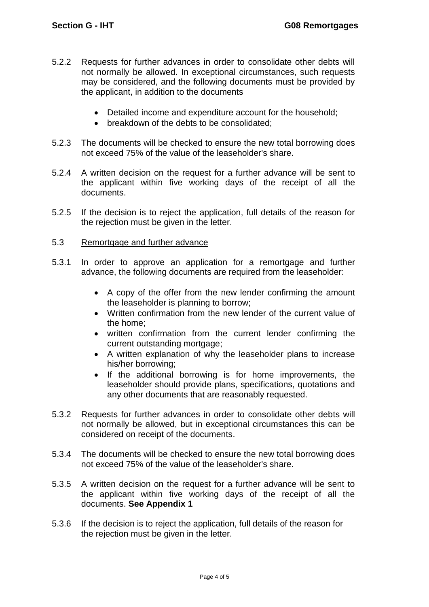- 5.2.2 Requests for further advances in order to consolidate other debts will not normally be allowed. In exceptional circumstances, such requests may be considered, and the following documents must be provided by the applicant, in addition to the documents
	- Detailed income and expenditure account for the household;
	- breakdown of the debts to be consolidated:
- 5.2.3 The documents will be checked to ensure the new total borrowing does not exceed 75% of the value of the leaseholder's share.
- 5.2.4 A written decision on the request for a further advance will be sent to the applicant within five working days of the receipt of all the documents.
- 5.2.5 If the decision is to reject the application, full details of the reason for the rejection must be given in the letter.
- 5.3 Remortgage and further advance
- 5.3.1 In order to approve an application for a remortgage and further advance, the following documents are required from the leaseholder:
	- A copy of the offer from the new lender confirming the amount the leaseholder is planning to borrow;
	- Written confirmation from the new lender of the current value of the home;
	- written confirmation from the current lender confirming the current outstanding mortgage;
	- A written explanation of why the leaseholder plans to increase his/her borrowing;
	- If the additional borrowing is for home improvements, the leaseholder should provide plans, specifications, quotations and any other documents that are reasonably requested.
- 5.3.2 Requests for further advances in order to consolidate other debts will not normally be allowed, but in exceptional circumstances this can be considered on receipt of the documents.
- 5.3.4 The documents will be checked to ensure the new total borrowing does not exceed 75% of the value of the leaseholder's share.
- 5.3.5 A written decision on the request for a further advance will be sent to the applicant within five working days of the receipt of all the documents. **See Appendix 1**
- 5.3.6 If the decision is to reject the application, full details of the reason for the rejection must be given in the letter.